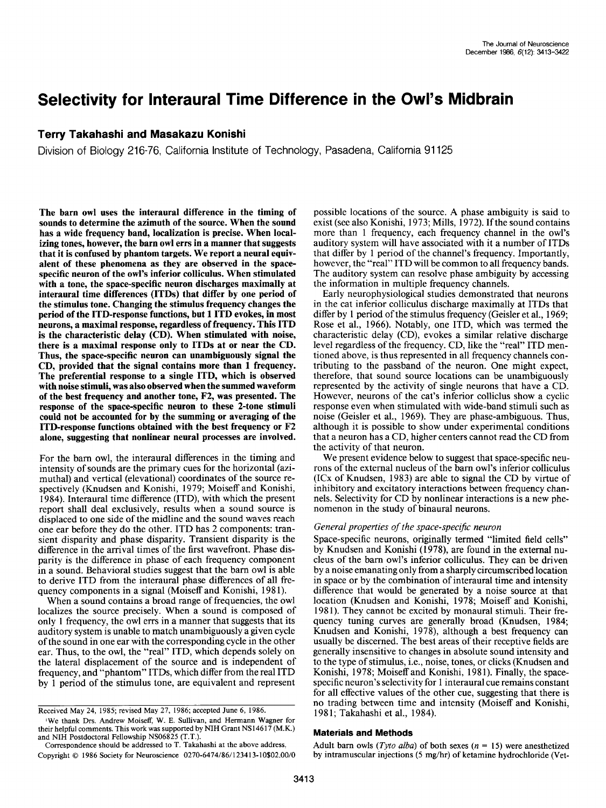# **Selectivity for lnteraural Time Difference in the Owl's Midbrain**

## **Terry Takahashi and Masakazu Konishi**

Division of Biology 216-76, California Institute of Technology, Pasadena, California 91125

The barn owl uses the interaural difference in the timing of sounds to determine the azimuth of the source. When the sound has a wide frequency band, localization is precise. When localizing tones, however, the barn owl errs in a manner that suggests that it is confused by phantom targets. We report a neural equivalent of these phenomena as they are observed in the spacespecific neuron of the owl's inferior colliculus. When stimulated with a tone, the space-specific neuron discharges maximally at interaural time differences (ITDs) that differ by one period of the stimulus tone. Changing the stimulus frequency changes the period of the ITD-response functions, but 1 ITD evokes, in most neurons, a maximal response, regardless of frequency. This ITD is the characteristic delay (CD). When stimulated with noise, there is a maximal response only to ITDs at or near the CD. Thus, the space-specific neuron can unambiguously signal the CD, provided that the signal contains more than 1 frequency. The preferential response to a single ITD, which is observed with noise stimuli, was also observed when the summed waveform of the best frequency and another tone, F2, was presented. The response of the space-specific neuron to these 2-tone stimuli could not be accounted for by the summing or averaging of the ITD-response functions obtained with the best frequency or F2 alone, suggesting that nonlinear neural processes are involved.

For the barn owl, the interaural differences in the timing and intensity of sounds are the primary cues for the horizontal (azimuthal) and vertical (elevational) coordinates of the source respectively (Knudsen and Konishi, 1979; Moiseff and Konishi, 1984). Interaural time difference {ITD), with which the present report shall deal exclusively, results when a sound source is displaced to one side of the midline and the sound waves reach one ear before they do the other. ITD has 2 components: transient disparity and phase disparity. Transient disparity is the difference in the arrival times of the first wavefront. Phase disparity is the difference in phase of each frequency component in a sound. Behavioral studies suggest that the barn owl is able to derive ITD from the interaural phase differences of all frequency components in a signal (Moiseff and Konishi, 1981).

When a sound contains a broad range of frequencies, the owl localizes the source precisely. When a sound is composed of only 1 frequency, the owl errs in a manner that suggests that its auditory system is unable to match unambiguously a given cycle of the sound in one ear with the corresponding cycle in the other ear. Thus, to the owl, the "real" ITD, which depends solely on the lateral displacement of the source and is independent of frequency, and "phantom" ITDs, which differ from the real ITD by 1 period of the stimulus tone, are equivalent and represent

possible locations of the source. A phase ambiguity is said to exist (see also Konishi, 1973; Mills, 1972). If the sound contains more than 1 frequency, each frequency channel in the owl's auditory system will have associated with it a number of ITDs that differ by 1 period of the channel's frequency. Importantly, however, the "real" ITD will be common to all frequency bands. The auditory system can resolve phase ambiguity by accessing the information in multiple frequency channels.

Early neurophysiological studies demonstrated that neurons in the cat inferior colliculus discharge maximally at ITDs that differ by 1 period of the stimulus frequency (Geisler et al., 1969; Rose et al., 1966). Notably, one ITD, which was termed the characteristic delay (CD), evokes a similar relative discharge level regardless of the frequency. CD, like the "real" ITD mentioned above, is thus represented in all frequency channels contributing to the passband of the neuron. One might expect, therefore, that sound source locations can be unambiguously represented by the activity of single neurons that have a CD. However, neurons of the cat's inferior colliclus show a cyclic response even when stimulated with wide-band stimuli such as noise (Geisler et al., 1969). They are phase-ambiguous. Thus, although it is possible to show under experimental conditions that a neuron has a CD, higher centers cannot read the CD from the activity of that neuron.

We present evidence below to suggest that space-specific neurons of the external nucleus of the barn owl's inferior colliculus (ICx of Knudsen, 1983) are able to signal the CD by virtue of inhibitory and excitatory interactions between frequency channels. Selectivity for CD by nonlinear interactions is a new phenomenon in the study of binaural neurons.

## *General properties of the space-specific neuron*

Space-specific neurons, originally termed "limited field cells" by Knudsen and Konishi (1978), are found in the external nucleus of the barn owl's inferior colliculus. They can be driven by a noise emanating only from a sharply circumscribed location in space or by the combination of interaural time and intensity difference that would be generated by a noise source at that location (Knudsen and Konishi, 1978; Moiseff and Konishi, 1981). They cannot be excited by monaural stimuli. Their frequency tuning curves are generally broad (Knudsen, 1984; Knudsen and Konishi, 1978), although a best frequency can usually be discerned. The best areas of their receptive fields are generally insensitive to changes in absolute sound intensity and to the type of stimulus, i.e., noise, tones, or clicks (Knudsen and Konishi, 1978; Moiseff and Konishi, 1981). Finally, the spacespecific neuron's selectivity for 1 interaural cue remains constant for all effective values of the other cue, suggesting that there is no trading between time and intensity (Moiseff and Konishi, 1981; Takahashi et al., 1984).

#### Materials and Methods

Adult barn owls (Tyto alba) of both sexes ( $n = 15$ ) were anesthetized by intramuscular injections (5 mg/hr) of ketamine hydrochloride (Vet-

Received May 24, 1985; revised May 27, 1986; accepted June 6, 1986.

<sup>&#</sup>x27;We thank Drs. Andrew Moiseff, W. E. Sullivan, and Hermann Wagner for their helpful comments. This work was supported by NIH Grant NS14617 (M.K.) and NIH Postdoctoral Fellowship NS06825 (T.T.).

Correspondence should be addressed to T. Takahashi at the above address, Copyright© 1986 Society for Neuroscience 0270-6474/86/123413-10\$02.00/0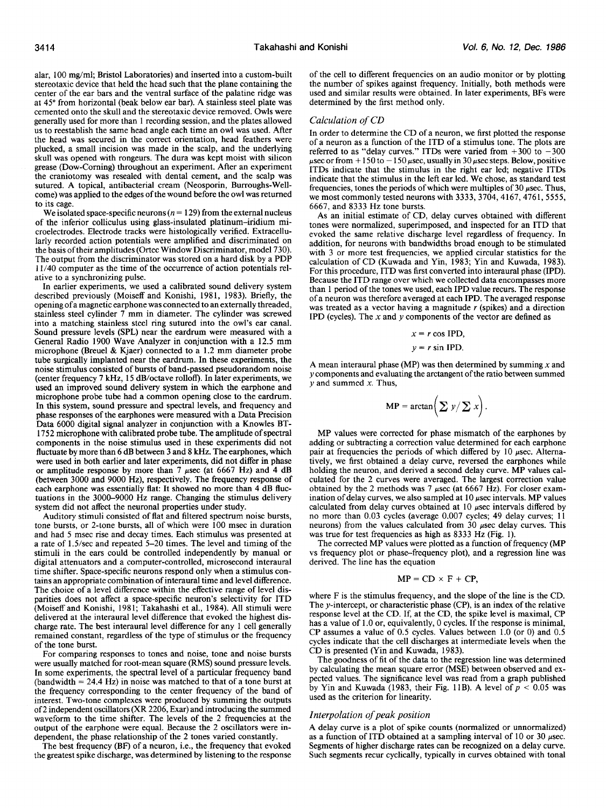alar, 100 mg/ml; Bristol Laboratories) and inserted into a custom-built stereotaxic device that held the head such that the plane containing the center of the ear bars and the ventral surface of the palatine ridge was at 45° from horizontal (beak below ear bar). A stainless steel plate was cemented onto the skull and the stereotaxic device removed. Owls were generally used for more than I recording session, and the plates allowed us to reestablish the same head angle each time an owl was used. After the head was secured in the correct orientation, head feathers were plucked, a small incision was made in the scalp, and the underlying skull was opened with rongeurs. The dura was kept moist with silicon grease (Dow-Coming) throughout an experiment. After an experiment the craniotomy was resealed with dental cement, and the scalp was sutured. A topical, antibacterial cream (Neosporin, Burroughs-Wellcome) was applied to the edges of the wound before the owl was returned to its cage.

We isolated space-specific neurons ( $n = 129$ ) from the external nucleus of the inferior colliculus using glass-insulated platinum-iridium microelectrodes. Electrode tracks were histologically verified. Extracellularly recorded action potentials were amplified and discriminated on the basis of their amplitudes (Ortec Window Discriminator, model 730). The output from the discriminator was stored on a hard disk by a PDP 11I40 computer as the time of the occurrence of action potentials relative to a synchronizing pulse.

In earlier experiments, we used a calibrated sound delivery system described previously (Moiseff and Konishi, 1981, 1983). Briefly, the opening of a magnetic earphone was connected to an externally threaded, stainless steel cylinder 7 mm in diameter. The cylinder was screwed into a matching stainless steel ring sutured into the owl's ear canal. Sound pressure levds (SPL) near the eardrum were measured with a General Radio 1900 Wave Analyzer in conjunction with a 12.5 mm microphone (Breuel & Kjaer) connected to a 1.2 mm diameter probe tube surgically implanted near the eardrum. In these experiments, the noise stimulus consisted of bursts of band-passed pseudorandom noise (center frequency 7 kHz, 15 dB/octave rolloff). In later experiments, we used an improved sound delivery system in which the earphone and microphone probe tube had a common opening close to the eardrum. In this system, sound pressure and spectral levels, and frequency and phase responses of the earphones were measured with a Data Precision Data 6000 digital signal analyzer in conjunction with a Knowles BT-1752 microphone with calibrated probe tube. The amplitude of spectral components in the noise stimulus used in these experiments did not fluctuate by more than 6 dB between 3 and 8 kHz. The earphones, which were used in both earlier and later experiments, did not differ in phase or amplitude response by more than  $7 \mu$ sec (at 6667 Hz) and 4 dB (between 3000 and 9000 Hz), respectively. The frequency response of each earphone was essentially flat: It showed no more than 4 dB fluctuations in the 3000-9000 Hz range. Changing the stimulus delivery system did not affect the neuronal properties under study.

Auditory stimuli consisted of flat and filtered spectrum noise bursts, tone bursts, or 2-tone bursts, all of which were 100 msec in duration and had 5 msec rise and decay times. Each stimulus was presented at a rate of 1.5/sec and repeated 5-20 times. The level and timing of the stimuli in the ears could be controlled independently by manual or digital attenuators and a computer-controlled, microsecond interaural time shifter. Space-specific neurons respond only when a stimulus contains an appropriate combination of interaural time and level difference. The choice of a level difference within the effective range of level disparities does not affect a space-specific neuron's selectivity for ITD (Moiseff and Konishi, 1981; Takahashi et al., 1984). All stimuli were delivered at the interaural level difference that evoked the highest discharge rate. The best interaural level difference for any I cell generally remained constant, regardless of the type of stimulus or the frequency of the tone burst.

For comparing responses to tones and noise, tone and noise bursts were usually matched for root-mean square (RMS) sound pressure levels. In some experiments, the spectral level of a particular frequency band  $(bandwidth = 24.4 Hz)$  in noise was matched to that of a tone burst at the frequency corresponding to the center frequency of the band of interest. Two-tone complexes were produced by summing the outputs of2 independent oscillators (XR 2206, Exar) and introducing the summed waveform to the time shifter. The levels of the 2 frequencies at the output of the earphone were equal. Because the 2 oscillators were independent, the phase relationship of the 2 tones varied constantly.

The best frequency (BF) of a neuron, i.e., the frequency that evoked the greatest spike discharge, was determined by listening to the response

of the cell to different frequencies on an audio monitor or by plotting the number of spikes against frequency. Initially, both methods were used and similar results were obtained. In later experiments, BFs were determined by the first method only.

#### *Calculation of CD*

In order to determine the CD of a neuron, we first plotted the response of a neuron as a function of the ITD of a stimulus tone. The plots are referred to as "delay curves." ITDs were varied from  $+300$  to  $-300$  $\mu$ sec or from +150 to -150  $\mu$ sec, usually in 30  $\mu$ sec steps. Below, positive ITDs indicate that the stimulus in the right ear led; negative ITDs indicate that the stimulus in the left ear led. We chose, as standard test frequencies, tones the periods of which were multiples of 30  $\mu$ sec. Thus, we most commonly tested neurons with 3333, 3704, 4167, 4761, 5555, 6667, and 8333 Hz tone bursts.

As an initial estimate of CD, delay curves obtained with different tones were normalized, superimposed, and inspected for an ITD that evoked the same relative discharge level regardless of frequency. In addition, for neurons with bandwidths broad enough to be stimulated with 3 or more test frequencies, we applied circular statistics for the calculation of CD (Kuwada and Yin, 1983; Yin and Kuwada, 1983). For this procedure, ITD was first converted into interaural phase (IPD). Because the ITD range over which we collected data encompasses more than I period of the tones we used, each IPD value recurs. The response of a neuron was therefore averaged at each IPD. The averaged response was treated as a vector having a magnitude  $r$  (spikes) and a direction IPD (cycles). The *x* and *y* components of the vector are defined as

$$
x = r \cos \text{IPD},
$$

$$
y = r \sin \text{IPD}.
$$

A mean interaural phase (MP) was then determined by summing *x* and *y* components and evaluating the arctangent of the ratio between summed y and summed *x.* Thus,

$$
\mathbf{MP} = \arctan\bigg(\sum y/\sum x\bigg).
$$

MP values were corrected for phase mismatch of the earphones by adding or subtracting a correction value determined for each earphone pair at frequencies the periods of which differed by 10  $\mu$ sec. Alternatively, we first obtained a delay curve, reversed the earphones while holding the neuron, and derived a second delay curve. MP values calculated for the 2 curves were averaged. The largest correction value obtained by the 2 methods was 7  $\mu$ sec (at 6667 Hz). For closer examination of delay curves, we also sampled at  $10 \mu$ sec intervals. MP values calculated from delay curves obtained at 10  $\mu$ sec intervals differed by no more than 0.03 cycles (average 0.007 cycles; 49 delay curves; 11 neurons) from the values calculated from 30  $\mu$ sec delay curves. This was true for test frequencies as high as 8333 Hz (Fig. I).

The corrected MP values were plotted as a function of frequency (MP vs frequency plot or phase-frequency plot), and a regression line was derived. The line has the equation

$$
MP = CD \times F + CP,
$$

where Fis the stimulus frequency, and the slope of the line is the CD. The  $y$ -intercept, or characteristic phase (CP), is an index of the relative response level at the CD. If, at the CD, the spike level is maximal, CP has a value of 1.0 or, equivalently, 0 cycles. If the response is minimal, CP assumes a value of 0.5 cycles. Values between 1.0 (or 0) and 0.5 cycles indicate that the cell discharges at intermediate levels when the CD is presented (Yin and Kuwada, 1983).

The goodness of fit of the data to the regression line was determined by calculating the mean square error (MSE) between observed and expected values. The significance level was read from a graph published by Yin and Kuwada (1983, their Fig. 11B). A level of  $p < 0.05$  was used as the criterion for linearity.

#### *Interpolation of peak position*

A delay curve is a plot of spike counts (normalized or unnormalized) as a function of ITD obtained at a sampling interval of 10 or 30  $\mu$ sec. Segments of higher discharge rates can be recognized on a delay curve. Such segments recur cyclically, typically in curves obtained with tonal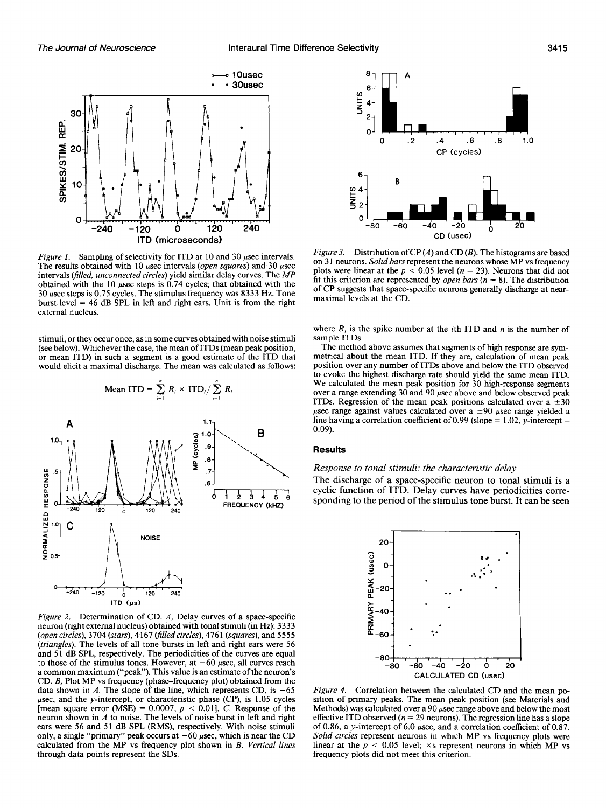

*Figure 1.* Sampling of selectivity for ITD at 10 and 30  $\mu$ sec intervals. The results obtained with 10 *µsec* intervals *(open squares)* and 30 *µsec*  intervals *(filled, unconnected circles)* yield similar delay curves. The *MP*  obtained with the IO *µsec* steps is 0.74 cycles; that obtained with the 30 *µsec* steps is 0. 75 cycles. The stimulus frequency was 8333 Hz. Tone burst level  $= 46$  dB SPL in left and right ears. Unit is from the right external nucleus.

stimuli, or they occur once, as in some curves obtained with noise stimuli (see below). Whichever the case, the mean ofITDs (mean peak position, or mean ITD) in such a segment is a good estimate of the ITD that would elicit a maximal discharge. The mean was calculated as follows:



*Figure 2.* Determination of CD. *A,* Delay curves of a space-specific neuron (right external nucleus) obtained with tonal stimuli (in Hz): 3333 *(open circles},* 3704 *(stars),* 4167 *(filled circles),* 4761 *(squares),* and 5555 *(triangles).* The levels of all tone bursts in left and right ears were 56 and 51 dB SPL, respectively. The periodicities of the curves are equal to those of the stimulus tones. However, at  $-60$   $\mu$ sec, all curves reach a common maximum ("peak"). This value is an estimate of the neuron's CD. *B,* Plot MP vs frequency (phase-frequency plot) obtained from the data shown in *A*. The slope of the line, which represents CD, is  $-65$ *µsec,* and the y-intercept, or characteristic phase (CP), is 1.05 cycles [mean square error (MSE) =  $0.0007$ ,  $p < 0.01$ ]. C, Response of the neuron shown in  $A$  to noise. The levels of noise burst in left and right ears were 56 and 51 dB SPL (RMS), respectively. With noise stimuli only, a single "primary" peak occurs at  $-60 \mu$ sec, which is near the CD calculated from the MP vs frequency plot shown in *B. Vertical lines*  through data points represent the SDs.



*Figure 3.* Distribution of  $CP(A)$  and  $CD(B)$ . The histograms are based on 31 neurons. *Solid bars* represent the neurons whose MP vs frequency plots were linear at the  $p < 0.05$  level ( $n = 23$ ). Neurons that did not fit this criterion are represented by *open bars* ( $n = 8$ ). The distribution of CP suggests that space-specific neurons generally discharge at nearmaximal levels at the CD.

where  $R_i$  is the spike number at the *i*th ITD and *n* is the number of sample ITDs.

The method above assumes that segments of high response are symmetrical about the mean ITD. If they are, calculation of mean peak position over any number of ITDs above and below the ITD observed to evoke the highest discharge rate should yield the same mean ITD. We calculated the mean peak position for 30 high-response segments over a range extending 30 and 90 *µsec* above and below observed peak ITDs. Regression of the mean peak positions calculated over a  $\pm 30$  $\mu$ sec range against values calculated over a  $\pm 90$   $\mu$ sec range yielded a line having a correlation coefficient of 0.99 (slope = 1.02, y-intercept = 0.09).

#### **Results**

#### *Response to tonal stimuli: the characteristic delay*

The discharge of a space-specific neuron to tonal stimuli is a cyclic function of ITD. Delay curves have periodicities corresponding to the period of the stimulus tone burst. It can be seen



*Figure 4.* Correlation between the calculated CD and the mean position of primary peaks. The mean peak position (see Materials and Methods) was calculated over a 90 *µsec* range above and below the most effective ITD observed ( $n = 29$  neurons). The regression line has a slope of 0.86, a y-intercept of 6.0 *µsec,* and a correlation coefficient of 0.87. *Solid circles* represent neurons in which MP vs frequency plots were linear at the  $p < 0.05$  level;  $\times$ s represent neurons in which MP vs frequency plots did not meet this criterion.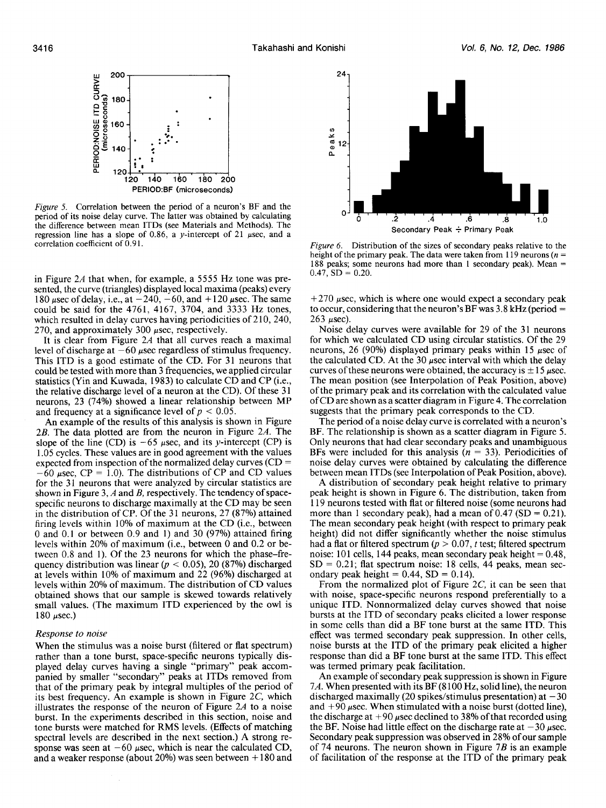

*Figure 5.* Correlation between the period of a neuron's BF and the period of its noise delay curve. The latter was obtained by calculating the difference between mean ITDs (see Materials and Methods). The regression line has a slope of 0.86, a y-intercept of 21 *µsec,* and a correlation coefficient of 0.91.

in Figure *2A* that when, for example, a 5555 Hz tone was presented, the curve (triangles) displayed local maxima (peaks) every 180  $\mu$ sec of delay, i.e., at  $-240, -60$ , and  $+ 120 \mu$ sec. The same could be said for the 4761, 4167, 3704, and 3333 Hz tones, which resulted in delay curves having periodicities of 210, 240, 270, and approximately 300  $\mu$ sec, respectively.

It is clear from Figure *2A* that all curves reach a maximal level of discharge at  $-60 \mu$ sec regardless of stimulus frequency. This ITD is a good estimate of the CD. For 31 neurons that could be tested with more than 3 frequencies, we applied circular statistics (Yin and Kuwada, 1983) to calculate CD and CP (i.e., the relative discharge level of a neuron at the CD). Of these 31 neurons, 23 (74%) showed a linear relationship between MP and frequency at a significance level of  $p < 0.05$ .

An example of the results of this analysis is shown in Figure *2B.* The data plotted are from the neuron in Figure *2A.* The slope of the line (CD) is  $-65 \mu$ sec, and its y-intercept (CP) is 1.05 cycles. These values are in good agreement with the values expected from inspection of the normalized delay curves (CD=  $-60 \mu$ sec, CP = 1.0). The distributions of CP and CD values for the 31 neurons that were analyzed by circular statistics are shown in Figure 3, A and B, respectively. The tendency of spacespecific neurons to discharge maximally at the CD may be seen in the distribution of CP. Of the 31 neurons,  $27(87%)$  attained firing levels within 10% of maximum at the CD (i.e., between 0 and 0.1 or between 0.9 and 1) and 30 (97%) attained firing levels within 20% of maximum (i.e., between 0 and 0.2 or between 0.8 and 1). Of the 23 neurons for which the phase-frequency distribution was linear ( $p < 0.05$ ), 20 (87%) discharged at levels within 10% of maximum and 22 (96%) discharged at levels within 20% of maximum. The distribution of CD values obtained shows that our sample is skewed towards relatively small values. (The maximum ITD experienced by the owl is 180  $\mu$ sec.)

## *E.esponse to noise*

When the stimulus was a noise burst (filtered or fiat spectrum) rather than a tone burst, space-specific neurons typically displayed delay curves having a single "primary" peak accompanied by smaller "secondary" peaks at ITDs removed from that of the primary peak by integral multiples of the period of its best frequency. An example is shown in Figure 2C, which illustrates the response of the neuron of Figure *2A* to a noise burst. In the experiments described in this section, noise and tone bursts were matched for RMS levels. (Effects of matching spectral levels are described in the next section.) A strong response was seen at  $-60 \mu$ sec, which is near the calculated CD, and a weaker response (about  $20\%$ ) was seen between  $+ 180$  and



*Figure 6.* Distribution of the sizes of secondary peaks relative to the height of the primary peak. The data were taken from 119 neurons ( $n =$ 188 peaks; some neurons had more than 1 secondary peak). Mean=  $0.47, SD = 0.20.$ 

+ 270 *µsec,* which is where one would expect a secondary peak to occur, considering that the neuron's BF was  $3.8$  kHz (period =  $263$  usec).

Noise delay curves were available for 29 of the 31 neurons for which we calculated CD using circular statistics. Of the 29 neurons, 26 (90%) displayed primary peaks within 15  $\mu$ sec of the calculated CD. At the 30  $\mu$ sec interval with which the delay curves of these neurons were obtained, the accuracy is  $\pm 15 \mu$ sec. The mean position (see Interpolation of Peak Position, above) of the primary peak and its correlation with the calculated value of CD are shown as a scatter diagram in Figure 4. The correlation suggests that the primary peak corresponds to the CD.

The period of a noise delay curve is correlated with a neuron's BF. The relationship is shown as a scatter diagram in Figure 5. Only neurons that had clear secondary peaks and unambiguous BFs were included for this analysis ( $n = 33$ ). Periodicities of noise delay curves were obtained by calculating the difference between mean ITDs (see Interpolation of Peak Position, above).

A distribution of secondary peak height relative to primary peak height is shown in Figure 6. The distribution, taken from 119 neurons tested with fiat or filtered noise (some neurons had more than 1 secondary peak), had a mean of  $0.47$  (SD =  $0.21$ ). The mean secondary peak height (with respect to primary peak height) did not differ significantly whether the noise stimulus had a flat or filtered spectrum ( $p > 0.07$ , t test; filtered spectrum noise: 101 cells, 144 peaks, mean secondary peak height =  $0.48$ ,  $SD = 0.21$ ; flat spectrum noise: 18 cells, 44 peaks, mean secondary peak height =  $0.44$ , SD =  $0.14$ ).

From the normalized plot of Figure  $2C$ , it can be seen that with noise, space-specific neurons respond preferentially to a unique ITD. Nonnormalized delay curves showed that noise bursts at the ITD of secondary peaks elicited a lower response in some cells than did a BF tone burst at the same ITD. This effect was termed secondary peak suppression. In other cells, noise bursts at the ITD of the primary peak elicited a higher response than did a BF tone burst at the same ITD. This effect was termed primary peak facilitation.

An example of secondary peak suppression is shown in Figure 7A. When presented with its BF (8100 Hz, solid line), the neuron discharged maximally (20 spikes/stimulus presentation) at  $-30$ and  $+90 \mu$ sec. When stimulated with a noise burst (dotted line), the discharge at  $+90 \mu$ sec declined to 38% of that recorded using the BF. Noise had little effect on the discharge rate at  $-30 \mu$ sec. Secondary peak suppression was observed in 28% of our sample of 74 neurons. The neuron shown in Figure *7B* is an example of facilitation of the response at the ITD of the primary peak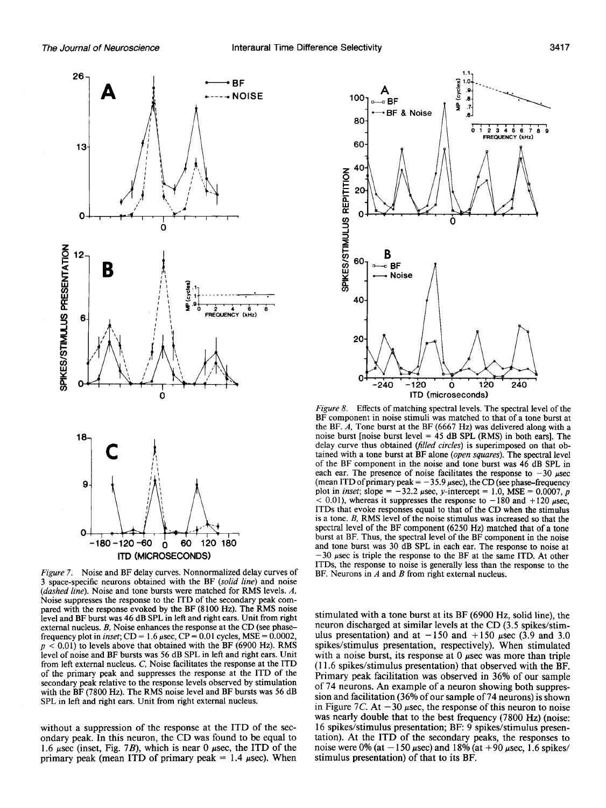

*Figure* 7. Noise and BF delay curves. Nonnormalized delay curves of 3 space-specific neurons obtained with the BF *(solid line)* and noise *(dashed line).* Noise and tone bursts were matched for RMS levels. *A,*  Noise suppresses the response to the ITD of the secondary peak compared with the response evoked by the BF (8100 Hz). The RMS noise level and BF burst was 46 dB SPL in left and right ears. Unit from right external nucleus. *B,* Noise enhances the response at the CD (see phasefrequency plot in *inset*;  $CD = 1.6 \mu$ sec,  $CP = 0.01$  cycles, MSE = 0.0002,  $p < 0.01$ ) to levels above that obtained with the BF (6900 Hz). RMS level of noise and BF bursts was 56 dB SPL in left and right ears. Unit from left external nucleus. *C*, Noise facilitates the response at the ITD of the primary peak and suppresses the response at the ITD of the secondary peak relative to the response levels observed by stimulation with the BF (7800 Hz). The RMS noise level and BF bursts was 56 dB SPL in left and right ears. Unit from right external nucleus.

without a suppression of the response at the ITD of the secondary peak. In this neuron, the CD was found to be equal to 1.6  $\mu$ sec (inset, Fig. 7B), which is near 0  $\mu$ sec, the ITD of the primary peak (mean ITD of primary peak  $= 1.4 \mu$ sec). When



*Figure 8.* Effects of matching spectral levels. The spectral level of the BF component in noise stimuli was matched to that of a tone burst at the BF. *A,* Tone burst at the BF (6667 Hz) was delivered along with a noise burst [noise burst level = 45 dB SPL (RMS) in both ears]. The delay curve thus obtained *(filled circles)* is superimposed on that obtained with a tone burst at BF alone *(open squares).* The spectral level of the BF component in the noise and tone burst was 46 dB SPL in each ear. The presence of noise facilitates the response to  $-30 \mu$ sec (mean ITD of primary peak  $= -35.9 \mu$ sec), the CD (see phase-frequency plot in *inset*; slope =  $-32.2 \mu$ sec, y-intercept = 1.0, MSE = 0.0007, *p*  $<$  0.01), whereas it suppresses the response to  $-180$  and  $+120$   $\mu$ sec, ITDs that evoke responses equal to that of the CD when the stimulus is a tone. B, RMS level of the noise stimulus was increased so that the spectral level of the BF component (6250 Hz) matched that of a tone burst at BF. Thus, the spectral level of the BF component in the noise and tone burst was 30 dB SPL in each ear. The response to noise at - 30 µsec is triple the response to the BF at the same ITD. At other ITDs, the response to noise is generally less than the response to the BF. Neurons in  $A$  and  $B$  from right external nucleus.

stimulated with a tone burst at its BF (6900 Hz, solid line), the neuron discharged at similar levels at the CD (3.5 spikes/stimulus presentation) and at  $-150$  and  $+150$   $\mu$ sec (3.9 and 3.0 spikes/stimulus presentation, respectively). When stimulated with a noise burst, its response at 0 *µsec* was more than triple (11.6 spikes/stimulus presentation) that observed with the BF. Primary peak facilitation was observed in 36% of our sample of 74 neurons. An example of a neuron showing both suppression and facilitation (36% of our sample of 74 neurons) is shown in Figure 7C. At  $-30 \mu$ sec, the response of this neuron to noise was nearly double that to the best frequency (7800 Hz) (noise: 16 spikes/stimulus presentation; BF: 9 spikes/stimulus presentation). At the ITO of the secondary peaks, the responses to noise were 0% (at  $-150 \mu$ sec) and 18% (at  $+90 \mu$ sec, 1.6 spikes/ stimulus presentation) of that to its BF.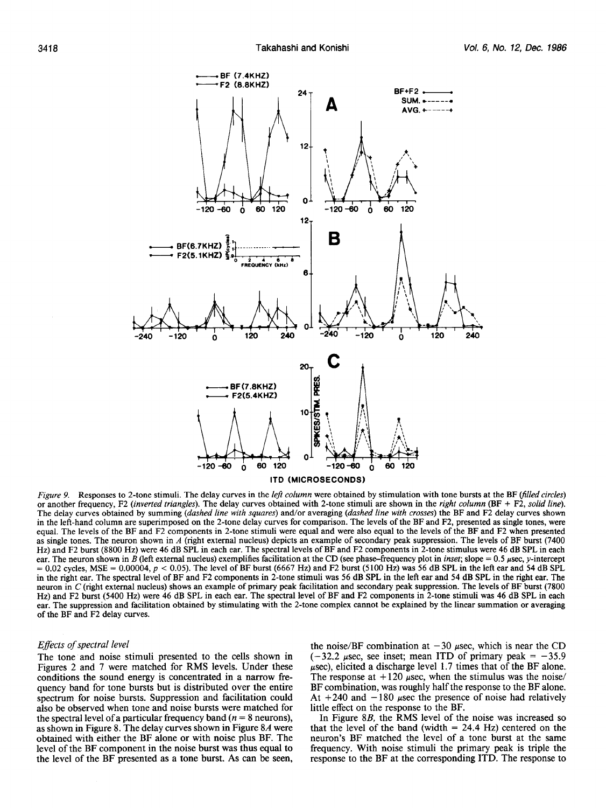

*Figure 9.* Responses to 2-tone stimuli. The delay curves in the *left column* were obtained by stimulation with tone bursts at the BF *<filled circles)*  or another frequency, F2 *(inverted triangles).* The delay curves obtained with 2-tone stimuli are shown in the *right column* (BF + F2, *solid line).*  The delay curves obtained by summing *(dashed line with squares)* and/or averaging *(dashed line with crosses)* the BF and F2 delay curves shown in the left-hand column are superimposed on the 2-tone delay curves for comparison. The levels of the BF and F2, presented as single tones, were equal. The levels of the BF and F2 components in 2-tone stimuli were equal and were also equal to the levels of the BF and F2 when presented as single tones. The neuron shown in A (right external nucleus) depicts an example of secondary peak suppression. The levels of BF burst (7400 Hz) and F2 burst (8800 Hz) were 46 dB SPL in each ear. The spectral levels of BF and F2 components in 2-tone stimulus were 46 dB SPL in each ear. The neuron shown in *B* (left external nucleus) exemplifies facilitation at the CD (see phase-frequency plot in *inset*; slope = 0.5 usec, y-intercept  $= 0.02$  cycles, MSE  $= 0.00004$ ,  $p < 0.05$ ). The level of BF burst (6667 Hz) and F2 burst (5100 Hz) was 56 dB SPL in the left ear and 54 dB SPL in the right ear. The spectral level of BF and F2 components in 2-tone stimuli was 56 dB SPL in the left ear and 54 dB SPL in the right ear. The neuron in C (right external nucleus) shows an example of primary peak facilitation and secondary peak suppression. The levels of BF burst (7800 Hz) and F2 burst (5400 Hz) were 46 dB SPL in each ear. The spectral level of BF and F2 components in 2-tone stimuli was 46 dB SPL in each ear. The suppression and facilitation obtained by stimulating with the 2-tone complex cannot be explained by the linear summation or averaging of the BF and F2 delay curves.

## *Effects of spectral level*

The tone and noise stimuli presented to the cells shown in Figures 2 and 7 were matched for RMS levels. Under these conditions the sound energy is concentrated in a narrow frequency band for tone bursts but is distributed over the entire spectrum for noise bursts. Suppression and facilitation could also be observed when tone and noise bursts were matched for the spectral level of a particular frequency band ( $n = 8$  neurons), as shown in Figure 8. The delay curves shown in Figure 8A were obtained with either the BF alone or with noise plus BF. The level of the BF component in the noise burst was thus equal to the level of the BF presented as a tone burst. As can be seen,

the noise/BF combination at  $-30$   $\mu$ sec, which is near the CD  $(-32.2 \text{ }\mu\text{sec}, \text{ sec} \text{ inset}; \text{ mean} \text{ ITD} \text{ of primary peak} = -35.9$  $\mu$ sec), elicited a discharge level 1.7 times that of the BF alone. The response at  $+120 \mu$ sec, when the stimulus was the noise/ BF combination, was roughly half the response to the BF alone. At  $+240$  and  $-180$  µsec the presence of noise had relatively little effect on the response to the BF.

In Figure 8B, the RMS level of the noise was increased so that the level of the band (width  $= 24.4$  Hz) centered on the neuron's BF matched the level of a tone burst at the same frequency. With noise stimuli the primary peak is triple the response to the BF at the corresponding ITO. The response to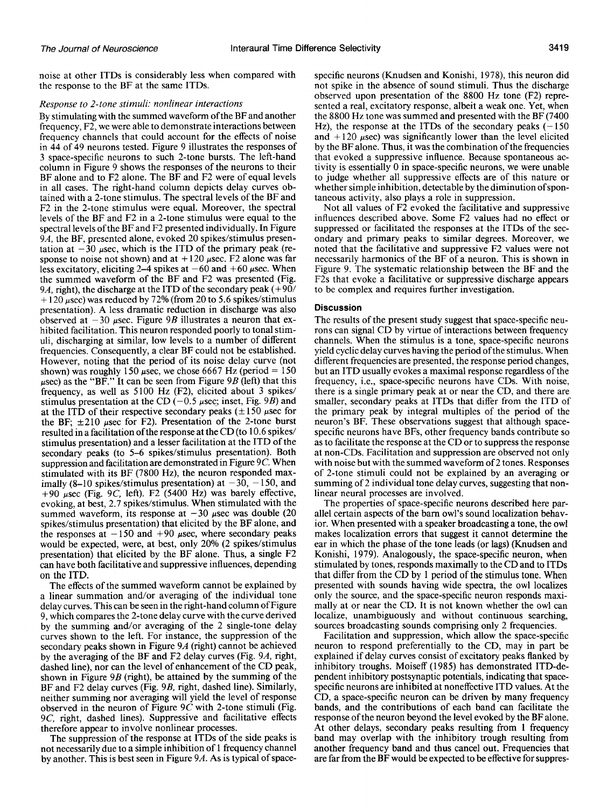noise at other ITDs is considerably less when compared with the response to the BF at the same ITDs.

## *Response to 2-tone stimuli: nonlinear interactions*

By stimulating with the summed waveform of the BF and another frequency, F2, we were able to demonstrate interactions between frequency channels that could account for the effects of noise in 44 of 49 neurons tested. Figure 9 illustrates the responses of 3 space-specific neurons to such 2-tone bursts. The left-hand column in Figure 9 shows the responses of the neurons to their BF alone and to F2 alone. The BF and F2 were of equal levels in all cases. The right-hand column depicts delay curves obtained with a 2-tone stimulus. The spectral levels of the BF and F2 in the 2-tone stimulus were equal. Moreover, the spectral levels of the BF and F2 in a 2-tone stimulus were equal to the spectral levels of the BF and F2 presented individually. In Figure *9A,* the BF, presented alone, evoked 20 spikes/stimulus presentation at  $-30$  µsec, which is the ITD of the primary peak (response to noise not shown) and at  $+120 \mu$ sec. F2 alone was far less excitatory, eliciting 2-4 spikes at  $-60$  and  $+60$  µsec. When the summed waveform of the BF and F2 was presented (Fig. 9A, right), the discharge at the ITD of the secondary peak  $(+90)$  $+ 120 \mu$ sec) was reduced by 72% (from 20 to 5.6 spikes/stimulus presentation). A less dramatic reduction in discharge was also observed at  $-30 \mu$ sec. Figure 9*B* illustrates a neuron that exhibited facilitation. This neuron responded poorly to tonal stimuli, discharging at similar, low levels to a number of different frequencies. Consequently, a clear BF could not be established. However, noting that the period of its noise delay curve (not shown) was roughly 150  $\mu$ sec, we chose 6667 Hz (period = 150  $\mu$ sec) as the "BF." It can be seen from Figure 9B (left) that this frequency, as well as 5100 Hz (F2), elicited about 3 spikes/ stimulus presentation at the CD  $(-0.5 \mu \text{sec})$ ; inset, Fig. 9*B*) and at the ITD of their respective secondary peaks  $(\pm 150 \mu \text{sec for}$ the BF;  $\pm 210$  µsec for F2). Presentation of the 2-tone burst resulted in a facilitation of the response at the CD (to 10.6 spikes/ stimulus presentation) and a lesser facilitation at the ITD of the secondary peaks (to 5-6 spikes/stimulus presentation). Both suppression and facilitation are demonstrated in Figure 9C. When stimulated with its BF (7800 Hz), the neuron responded maximally (8-10 spikes/stimulus presentation) at  $-3\overline{0}$ ,  $-150$ , and +90  $\mu$ sec (Fig. 9C, left). F2 (5400 Hz) was barely effective, evoking, at best, 2.7 spikes/stimulus. When stimulated with the summed waveform, its response at  $-30$   $\mu$ sec was double (20) spikes/stimulus presentation) that elicited by the BF alone, and the responses at  $-150$  and  $+90$   $\mu$ sec, where secondary peaks would be expected, were, at best, only 20% (2 spikes/stimulus presentation) that elicited by the BF alone. Thus, a single F2 can have both facilitative and suppressive influences, depending on the ITD.

The effects of the summed waveform cannot be explained by a linear summation and/or averaging of the individual tone delay curves. This can be seen in the right-hand column of Figure 9, which compares the 2-tone delay curve with the curve derived by the summing and/or averaging of the 2 single-tone delay curves shown to the left. For instance, the suppression of the secondary peaks shown in Figure *9A* (right) cannot be achieved by the averaging of the BF and F2 delay curves (Fig. *9A,* right, dashed line), nor can the level of enhancement of the CD peak, shown in Figure *9B* (right), be attained by the summing of the BF and F2 delay curves (Fig. *9B,* right, dashed line). Similarly, neither summing nor averaging will yield the level of response observed in the neuron of Figure 9C with 2-tone stimuli (Fig. 9C, right, dashed lines). Suppressive and facilitative effects therefore appear to involve nonlinear processes.

The suppression of the response at ITDs of the side peaks is not necessarily due to a simple inhibition of 1 frequency channel by another. This is best seen in Figure *9A.* As is typical of spacespecific neurons (Knudsen and Konishi, 1978), this neuron did not spike in the absence of sound stimuli. Thus the discharge observed upon presentation of the 8800 Hz tone (F2) represented a real, excitatory response, albeit a weak one. Yet, when the 8800 Hz tone was summed and presented with the BF (7400 Hz), the response at the ITDs of the secondary peaks  $(-150$ and  $+120$   $\mu$ sec) was significantly lower than the level elicited by the BF alone. Thus, it was the combination of the frequencies that evoked a suppressive influence. Because spontaneous activity is essentially 0 in space-specific neurons, we were unable to judge whether all suppressive effects are of this nature or whether simple inhibition, detectable by the diminution of spontaneous activity, also plays a role in suppression.

Not all values of F2 evoked the facilitative and suppressive influences described above. Some F2 values had no effect or suppressed or facilitated the responses at the ITDs of the secondary and primary peaks to similar degrees. Moreover, we noted that the facilitative and suppressive F2 values were not necessarily harmonics of the BF of a neuron. This is shown in Figure 9. The systematic relationship between the BF and the F2s that evoke a facilitative or suppressive discharge appears to be complex and requires further investigation.

#### **Discussion**

The results of the present study suggest that space-specific neurons can signal CD by virtue of interactions between frequency channels. When the stimulus is a tone, space-specific neurons yield cyclic delay curves having the period of the stimulus. When different frequencies are presented, the response period changes, but an ITD usually evokes a maximal response regardless of the frequency, i.e., space-specific neurons have CDs. With noise, there is a single primary peak at or near the CD, and there are smaller, secondary peaks at ITDs that differ from the ITD of the primary peak by integral multiples of the period of the neuron's BF. These observations suggest that although spacespecific neurons have BFs, other frequency bands contribute so as to facilitate the response at the CD or to suppress the response at non-CDs. Facilitation and suppression are observed not only with noise but with the summed waveform of 2 tones. Responses of 2-tone stimuli could not be explained by an averaging or summing of 2 individual tone delay curves, suggesting that nonlinear neural processes are involved.

The properties of space-specific neurons described here parallel certain aspects of the barn owl's sound localization behavior. When presented with a speaker broadcasting a tone, the owl makes localization errors that suggest it cannot determine the ear in which the phase of the tone leads (or lags) (Knudsen and Konishi, 1979). Analogously, the space-specific neuron, when stimulated by tones, responds maximally to the CD and to ITDs that differ from the CD by 1 period of the stimulus tone. When presented with sounds having wide spectra, the owl localizes only the source, and the space-specific neuron responds maximally at or near the CD. It is not known whether the owl can localize, unambiguously and without continuous searching, sources broadcasting sounds comprising only 2 frequencies.

Facilitation and suppression, which allow the space-specific neuron to respond preferentially to the CD, may in part be explained if delay curves consist of excitatory peaks flanked by inhibitory troughs. Moiseff (1985) has demonstrated ITD-dependent inhibitory postsynaptic potentials, indicating that spacespecific neurons are inhibited at noneffective ITD values. At the CD, a space-specific neuron can be driven by many frequency bands, and the contributions of each band can facilitate the response of the neuron beyond the level evoked by the BF alone. At other delays, secondary peaks resulting from 1 frequency band may overlap with the inhibitory trough resulting from another frequency band and thus cancel out. Frequencies that are far from the BF would be expected to be effective for suppres-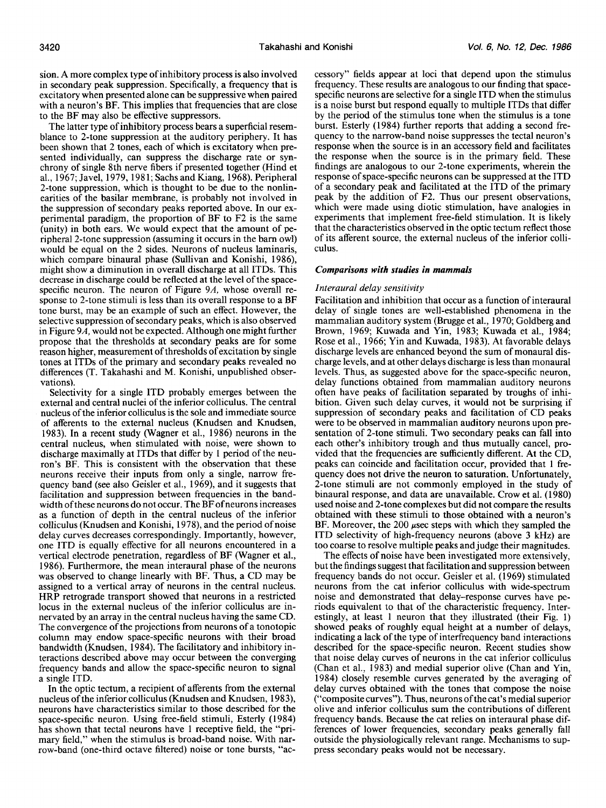sion. A more complex type of inhibitory process is also involved in secondary peak suppression. Specifically, a frequency that is excitatory when presented alone can be suppressive when paired with a neuron's BF. This implies that frequencies that are close to the BF may also be effective suppressors.

The latter type of inhibitory process bears a superficial resemblance to 2-tone suppression at the auditory periphery. It has been shown that 2 tones, each of which is excitatory when presented individually, can suppress the discharge rate or synchrony of single 8th nerve fibers if presented together (Hind et al., 1967; Javel, 1979, 1981; Sachs and Kiang, 1968). Peripheral 2-tone suppression, which is thought to be due to the nonlinearities of the basilar membrane, is probably not involved in the suppression of secondary peaks reported above. In our experimental paradigm, the proportion of BF to F2 is the same (unity) in both ears. We would expect that the amount of peripheral 2-tone suppression (assuming it occurs in the barn owl) would be equal on the 2 sides. Neurons of nucleus laminaris, which compare binaural phase (Sullivan and Konishi, 1986), might show a diminution in overall discharge at all ITDs. This decrease in discharge could be reflected at the level of the spacespecific neuron. The neuron of Figure 9A, whose overall response to 2-tone stimuli is less than its overall response to a BF tone burst, may be an example of such an effect. However, the selective suppression of secondary peaks, which is also observed in Figure 9A, would not be expected. Although one might further propose that the thresholds at secondary peaks are for some reason higher, measurement of thresholds of excitation by single tones at ITDs of the primary and secondary peaks revealed no differences (T. Takahashi and M. Konishi, unpublished observations).

Selectivity for a single ITD probably emerges between the external and central nuclei of the inferior colliculus. The central nucleus of the inferior colliculus is the sole and immediate source of afferents to the external nucleus (Knudsen and Knudsen, 1983). In a recent study (Wagner et al., 1986) neurons in the central nucleus, when stimulated with noise, were shown to discharge maximally at ITDs that differ by 1 period of the neuron's BF. This is consistent with the observation that these neurons receive their inputs from only a single, narrow frequency band (see also Geisler et al., 1969), and it suggests that facilitation and suppression between frequencies in the bandwidth of these neurons do not occur. The BF of neurons increases as a function of depth in the central nucleus of the inferior colliculus (Knudsen and Konishi, 1978), and the period ofnoise delay curves decreases correspondingly. Importantly, however, one ITD is equally effective for all neurons encountered in a vertical electrode penetration, regardless of BF (Wagner et al., 1986). Furthermore, the mean interaural phase of the neurons was observed to change linearly with BF. Thus, a CD may be assigned to a vertical array of neurons in the central nucleus. HRP retrograde transport showed that neurons in a restricted locus in the external nucleus of the inferior colliculus are innervated by an array in the central nucleus having the same CD. The convergence of the projections from neurons of a tonotopic column may endow space-specific neurons with their broad bandwidth (Knudsen, 1984). The facilitatory and inhibitory interactions described above may occur between the converging frequency bands and allow the space-specific neuron to signal a single ITD.

In the optic tectum, a recipient of afferents from the external nucleus of the inferior colliculus (Knudsen and Knudsen, 1983), neurons have characteristics similar to those described for the space-specific neuron. Using free-field stimuli, Esterly (1984) has shown that tectal neurons have 1 receptive field, the "primary field," when the stimulus is broad-band noise. With narrow-band (one-third octave filtered) noise or tone bursts, "ac-

cessory" fields appear at loci that depend upon the stimulus frequency. These results are analogous to our finding that spacespecific neurons are selective for a single ITD when the stimulus is a noise burst but respond equally to multiple ITDs that differ by the period of the stimulus tone when the stimulus is a tone burst. Esterly (1984) further reports that adding a second frequency to the narrow-band noise suppresses the tectal neuron's response when the source is in an accessory field and facilitates the response when the source is in the primary field. These findings are analogous to our 2-tone experiments, wherein the response of space-specific neurons can be suppressed at the ITD of a secondary peak and facilitated at the ITD of the primary peak by the addition of F2. Thus our present observations, which were made using diotic stimulation, have analogies in experiments that implement free-field stimulation. It is likely that the characteristics observed in the optic tectum reflect those of its afferent source, the external nucleus of the inferior colliculus.

#### *Comparisons with studies in mammals*

#### *lnteraural delay sensitivity*

Facilitation and inhibition that occur as a function of interaural delay of single tones are well-established phenomena in the mammalian auditory system (Brugge et al., 1970; Goldberg and Brown, 1969; Kuwada and Yin, 1983; Kuwada et al., 1984; Rose et al., 1966; Yin and Kuwada, 1983). At favorable delays discharge levels are enhanced beyond the sum of monaural discharge levels, and at other delays discharge is less than monaural levels. Thus, as suggested above for the space-specific neuron, delay functions obtained from mammalian auditory neurons often have peaks of facilitation separated by troughs of inhibition. Given such delay curves, it would not be surprising if suppression of secondary peaks and facilitation of CD peaks were to be observed in mammalian auditory neurons upon presentation of 2-tone stimuli. Two secondary peaks can fall into each other's inhibitory trough and thus mutually cancel, provided that the frequencies are sufficiently different. At the CD, peaks can coincide and facilitation occur, provided that 1 frequency does not drive the neuron to saturation. Unfortunately, 2-tone stimuli are not commonly employed in the study of binaural response, and data are unavailable. Crow et al. (1980) used noise and 2-tone complexes but did not compare the results obtained with these stimuli to those obtained with a neuron's BF. Moreover, the 200  $\mu$ sec steps with which they sampled the ITD selectivity of high-frequency neurons (above 3 kHz) are too coarse to resolve multiple peaks and judge their magnitudes.

The effects of noise have been investigated more extensively, but the findings suggest that facilitation and suppression between frequency bands do not occur. Geisler et al. (1969) stimulated neurons from the cat inferior colliculus with wide-spectrum noise and demonstrated that delay-response curves have periods equivalent to that of the characteristic frequency. Interestingly, at least 1 neuron that they illustrated (their Fig. 1) showed peaks of roughly equal height at a number of delays, indicating a lack of the type of interfrequency band interactions described for the space-specific neuron. Recent studies show that noise delay curves of neurons in the cat inferior colliculus (Chan et al., 1983) and medial superior olive (Chan and Yin, 1984) closely resemble curves generated by the averaging of delay curves obtained with the tones that compose the noise ("composite curves"). Thus, neurons of the cat's medial superior olive and inferior colliculus sum the contributions of different frequency bands. Because the cat relies on interaural phase differences of lower frequencies, secondary peaks generally fall outside the physiologically relevant range. Mechanisms to suppress secondary peaks would not be necessary.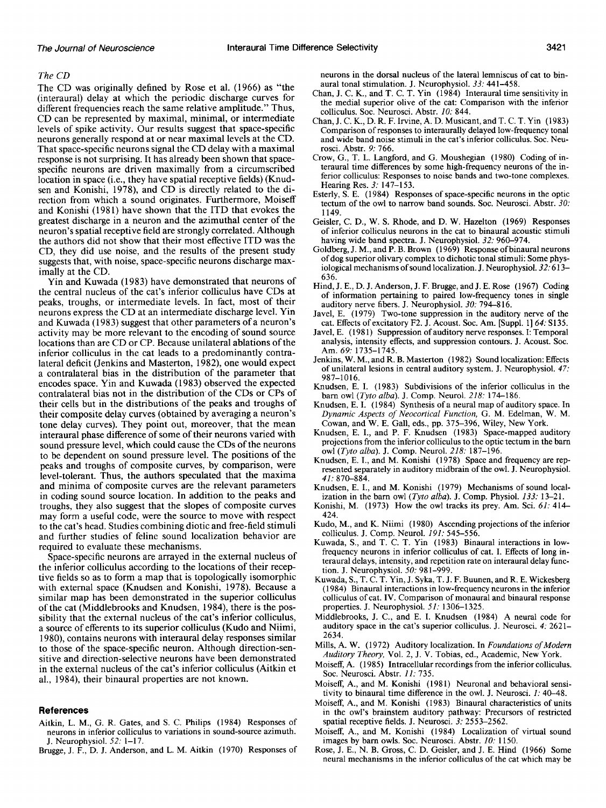## *The CD*

The CD was originally defined by Rose et al. (1966) as "the (interaural) delay at which the periodic discharge curves for different frequencies reach the same relative amplitude." Thus, CD can be represented by maximal, minimal, or intermediate levels of spike activity. Our results suggest that space-specific neurons generally respond at or near maximal levels at the CD. That space-specific neurons signal the CD delay with a maximal response is not surprising. It has already been shown that spacespecific neurons are driven maximally from a circumscribed location in space (i.e., they have spatial receptive fields) (Knudsen and Konishi, 1978), and CD is directly related to the direction from which a sound originates. Furthermore, Moiseff and Konishi (1981) have shown that the ITD that evokes the greatest discharge in a neuron and the azimuthal center of the neuron's spatial receptive field are strongly correlated. Although the authors did not show that their most effective ITD was the CD, they did use noise, and the results of the present study suggests that, with noise, space-specific neurons discharge maximally at the CD.

Yin and Kuwada (1983) have demonstrated that neurons of the central nucleus of the cat's inferior colliculus have CDs at peaks, troughs, or intermediate levels. In fact, most of their neurons express the CD at an intermediate discharge level. Yin and Kuwada (1983) suggest that other parameters of a neuron's activity may be more relevant to the encoding of sound source locations than are CD or CP. Because unilateral ablations of the inferior colliculus in the cat leads to a predominantly contralateral deficit (Jenkins and Masterton, 1982), one would expect a contralateral bias in the distribution of the parameter that encodes space. Yin and Kuwada (1983) observed the expected contralateral bias not in the distribution of the CDs or CPs of their cells but in the distributions of the peaks and troughs of their composite delay curves (obtained by averaging a neuron's tone delay curves). They point out, moreover, that the mean interaural phase difference of some of their neurons varied with sound pressure level, which could cause the CDs of the neurons to be dependent on sound pressure level. The positions of the peaks and troughs of composite curves, by comparison, were level-tolerant. Thus, the authors speculated that the maxima and minima of composite curves are the relevant parameters in coding sound source location. In addition to the peaks and troughs, they also suggest that the slopes of composite curves may form a useful code, were the source to move with respect to the cat's head. Studies combining diotic and free-field stimuli and further studies of feline sound localization behavior are required to evaluate these mechanisms.

Space-specific neurons are arrayed in the external nucleus of the inferior colliculus according to the locations of their receptive fields so as to form a map that is topologically isomorphic with external space (Knudsen and Konishi, 1978). Because a similar map has been demonstrated in the superior colliculus of the cat (Middlebrooks and Knudsen, 1984), there is the possibility that the external nucleus of the cat's inferior colliculus, a source of efferents to its superior colliculus (Kudo and Niimi, 1980), contains neurons with interaural delay responses similar to those of the space-specific neuron. Although direction-sensitive and direction-selective neurons have been demonstrated in the external nucleus of the cat's inferior colliculus (Aitkin et al., 1984), their binaural properties are not known.

#### **References**

- Aitkin, L. M., G. R. Gates, and S. C. Philips (1984) Responses of neurons in inferior colliculus to variations in sound-source azimuth. J. Neurophysiol. 52: 1-17.
- Brugge, J. F., D. J. Anderson, and L. M. Aitkin (1970) Responses of

neurons in the dorsal nucleus of the lateral lemniscus of cat to binaural tonal stimulation. J. Neurophysiol. *33:* 441-458.

- Chan, J. C. K., and T. C. T. Yin (1984) Interaural time sensitivity in the medial superior olive of the cat: Comparison with the inferior colliculus. Soc. Neurosci. Abstr. 10: 844.
- Chan, J.C. K., D.R. F. Irvine, A. D. Musicant, and T. C. T. Yin (1983) Comparison of responses to interaurally delayed low-frequency tonal and wide band noise stimuli in the cat's inferior colliculus. Soc. Neurosci. Abstr. *9:* 766.
- Crow, G., T. L. Langford, and G. Moushegian (1980) Coding of interaural time differences by some high-frequency neurons of the inferior colliculus: Responses to noise bands and two-tone complexes. Hearing Res. *3:* 147-153.
- Esterly, S. E. (1984) Responses of space-specific neurons in the optic tectum of the owl to narrow band sounds. Soc. Neurosci. Abstr. 30: 1149.
- Geisler, C. D., W. S. Rhode, and D. W. Hazelton (1969) Responses of inferior colliculus neurons in the cat to binaural acoustic stimuli having wide band spectra. J. Neurophysiol. *32:* 960-974.
- Goldberg, J. M., and P. B. Brown (1969) Response of binaural neurons of dog superior olivary complex to dichotic tonal stimuli: Some physiological mechanisms of sound localization. J. Neurophysiol. *32:* 613- 636.
- Hind, J. E., D. J. Anderson, J. F. Brugge, and J. E. Rose (1967) Coding of information pertaining to paired low-frequency tones in single auditory nerve fibers. J. Neurophysiol. 30: 794-816.
- Jave!, E. (1979) Two-tone suppression in the auditory nerve of the cat. Effects of excitatory F2. J. Acoust. Soc. Am. [Suppl. l] 64: Sl35.
- Javel, E. (1981) Suppression of auditory nerve responses. I: Temporal analysis, intensity effects, and suppression contours. J. Acoust. Soc. Am. *69:* 1735-1745.
- Jenkins, W. M., and R. B. Masterton (1982) Sound localization: Effects of unilateral lesions in central auditory system. J. Neurophysiol. *47:*  987-1016.
- Knudsen, E. I. (1983) Subdivisions of the inferior colliculus in the barn owl *(Tyto alba).* J. Comp. Neurol. *218:* 174-186.
- Knudsen, E. I. (1984) Synthesis of a neural map of auditory space. In *Dynamic Aspects of Neocortical Function,* G. M. Edelman, W. M. Cowan, and W. E. Gall, eds., pp. 375-396, Wiley, New York.
- Knudsen, E. I., and P. F. Knudsen (1983) Space-mapped auditory projections from the inferior colliculus to the optic tectum in the barn owl *(Tyto alba).* J. Comp. Neurol. *218:* 187-196.
- Knudsen, E. I., and M. Konishi (1978) Space and frequency are represented separately in auditory midbrain of the owl. J. Neurophysiol. *41:* 870-884.
- Knudsen, E. I., and M. Konishi ( 1979) Mechanisms of sound localization in the barn owl *(Tyto alba).* J. Comp. Physiol. *133:* 13-21.
- Konishi, M. (1973) How the owl tracks its prey. Am. Sci. 61: 414- 424.
- Kudo, M., and K. Niimi ( 1980) Ascending projections of the inferior colliculus. J. Comp. Neurol. 191: 545-556.
- Kuwada, S., and T. C. T. Yin (1983) Binaural interactions in lowfrequency neurons in inferior colliculus of cat. I. Effects of long interaural delays, intensity, and repetition rate on interaural delay function. J. Neurophysiol. *50:* 981-999.
- Kuwada, S., T. C. T. Yin, J. Syka, T. J. F. Buunen, and R. E. Wickesberg (1984) Binaural interactions in low-frequency neurons in the inferior colliculus of cat. IV. Comparison of monaural and binaural response properties. J. Neurophysiol. *51:* 1306-1325.
- Middlebrooks, J. C., and E. I. Knudsen (1984) A neural code for auditory space in the cat's superior colliculus. J. Neurosci. 4: 2621- 2634.
- Mills, A. W. (1972) Auditory localization. In *Foundations of Modern Auditory Theory,* Vol. 2, J. V. Tobias, ed., Academic, New York.
- Moiseff, A. ( 1985) Intracellular recordings from the inferior colliculus. Soc. Neurosci. Abstr. *11:* 735.
- Moiseff, A., and M. Konishi (1981) Neuronal and behavioral sensitivity to binaural time difference in the owl. J. Neurosci. *1:* 40-48.
- Moiseff, A., and M. Konishi (1983) Binaural characteristics of units in the owl's brainstem auditory pathway: Precursors of restricted spatial receptive fields. J. Neurosci. 3: 2553-2562.
- Moiseff, A., and M. Konishi (1984) Localization of virtual sound images by barn owls. Soc. Neurosci. Abstr. *JO:* 1150.
- Rose, J. E., N. B. Gross, C. D. Geisler, and J. E. Hind (1966) Some neural mechanisms in the inferior colliculus of the cat which may be